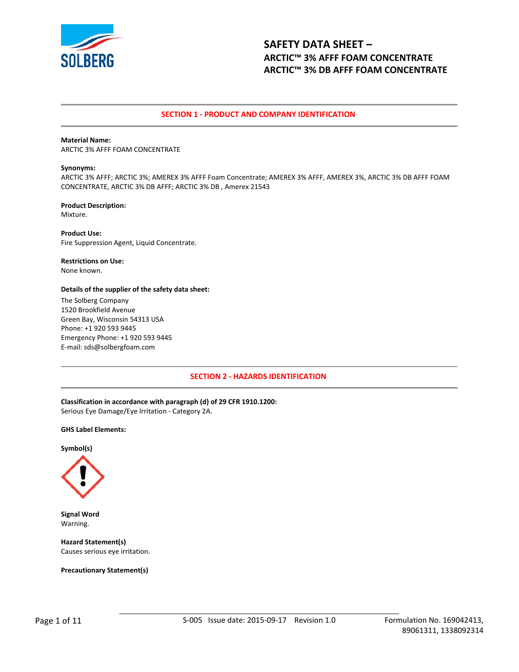

# **SECTION 1 - PRODUCT AND COMPANY IDENTIFICATION**

## **Material Name:**

ARCTIC 3% AFFF FOAM CONCENTRATE

#### **Synonyms:**

ARCTIC 3% AFFF; ARCTIC 3%; AMEREX 3% AFFF Foam Concentrate; AMEREX 3% AFFF, AMEREX 3%, ARCTIC 3% DB AFFF FOAM CONCENTRATE, ARCTIC 3% DB AFFF; ARCTIC 3% DB , Amerex 21543

#### **Product Description:**  Mixture.

**Product Use:**  Fire Suppression Agent, Liquid Concentrate.

# **Restrictions on Use:**

None known.

## **Details of the supplier of the safety data sheet:**

The Solberg Company 1520 Brookfield Avenue Green Bay, Wisconsin 54313 USA Phone: +1 920 593 9445 Emergency Phone: +1 920 593 9445 E-mail: sds@solbergfoam.com

# **SECTION 2 - HAZARDS IDENTIFICATION**

**Classification in accordance with paragraph (d) of 29 CFR 1910.1200:**  Serious Eye Damage/Eye Irritation - Category 2A.

#### **GHS Label Elements:**

**Symbol(s)** 



**Signal Word**  Warning.

**Hazard Statement(s)**  Causes serious eye irritation.

**Precautionary Statement(s)**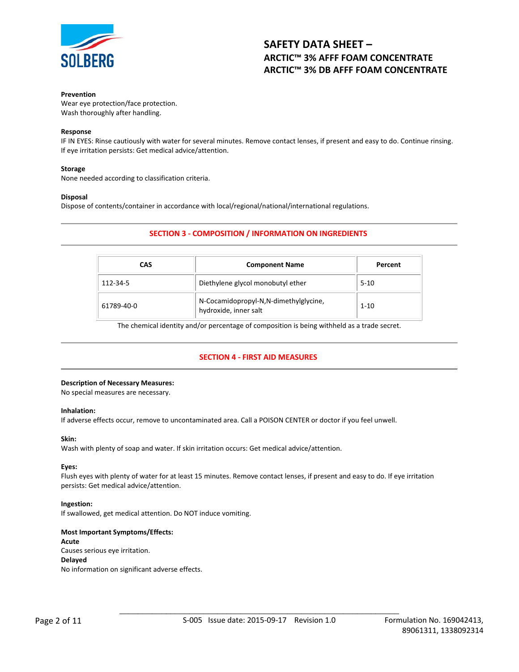

## **Prevention**

Wear eye protection/face protection. Wash thoroughly after handling.

## **Response**

IF IN EYES: Rinse cautiously with water for several minutes. Remove contact lenses, if present and easy to do. Continue rinsing. If eye irritation persists: Get medical advice/attention.

# **Storage**

None needed according to classification criteria.

## **Disposal**

Dispose of contents/container in accordance with local/regional/national/international regulations.

# **SECTION 3 - COMPOSITION / INFORMATION ON INGREDIENTS**

| CAS        | <b>Component Name</b>                                          | Percent  |  |
|------------|----------------------------------------------------------------|----------|--|
| 112-34-5   | Diethylene glycol monobutyl ether                              | $5-10$   |  |
| 61789-40-0 | N-Cocamidopropyl-N,N-dimethylglycine,<br>hydroxide, inner salt | $1 - 10$ |  |

The chemical identity and/or percentage of composition is being withheld as a trade secret.

# **SECTION 4 - FIRST AID MEASURES**

# **Description of Necessary Measures:**

No special measures are necessary.

#### **Inhalation:**

If adverse effects occur, remove to uncontaminated area. Call a POISON CENTER or doctor if you feel unwell.

#### **Skin:**

Wash with plenty of soap and water. If skin irritation occurs: Get medical advice/attention.

# **Eyes:**

Flush eyes with plenty of water for at least 15 minutes. Remove contact lenses, if present and easy to do. If eye irritation persists: Get medical advice/attention.

# **Ingestion:**

If swallowed, get medical attention. Do NOT induce vomiting.

# **Most Important Symptoms/Effects:**

# **Acute**

Causes serious eye irritation.

# **Delayed**

No information on significant adverse effects.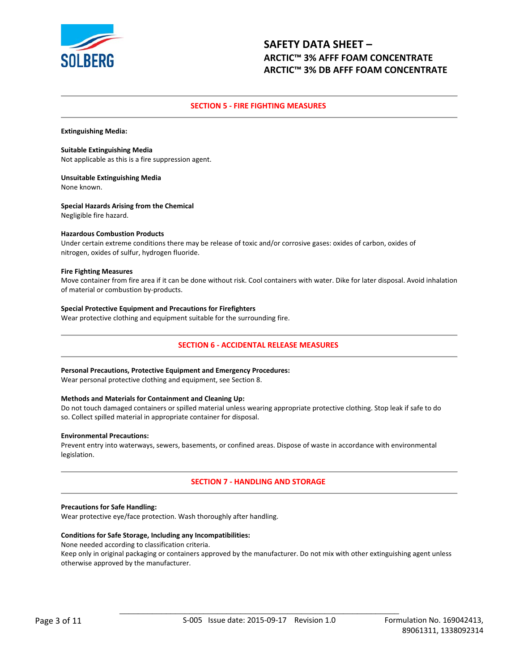

# **SECTION 5 - FIRE FIGHTING MEASURES**

**Extinguishing Media:** 

#### **Suitable Extinguishing Media**

Not applicable as this is a fire suppression agent.

**Unsuitable Extinguishing Media**  None known.

# **Special Hazards Arising from the Chemical**

Negligible fire hazard.

## **Hazardous Combustion Products**

Under certain extreme conditions there may be release of toxic and/or corrosive gases: oxides of carbon, oxides of nitrogen, oxides of sulfur, hydrogen fluoride.

## **Fire Fighting Measures**

Move container from fire area if it can be done without risk. Cool containers with water. Dike for later disposal. Avoid inhalation of material or combustion by-products.

## **Special Protective Equipment and Precautions for Firefighters**

Wear protective clothing and equipment suitable for the surrounding fire.

# **SECTION 6 - ACCIDENTAL RELEASE MEASURES**

#### **Personal Precautions, Protective Equipment and Emergency Procedures:**

Wear personal protective clothing and equipment, see Section 8.

#### **Methods and Materials for Containment and Cleaning Up:**

Do not touch damaged containers or spilled material unless wearing appropriate protective clothing. Stop leak if safe to do so. Collect spilled material in appropriate container for disposal.

#### **Environmental Precautions:**

Prevent entry into waterways, sewers, basements, or confined areas. Dispose of waste in accordance with environmental legislation.

# **SECTION 7 - HANDLING AND STORAGE**

#### **Precautions for Safe Handling:**

Wear protective eye/face protection. Wash thoroughly after handling.

#### **Conditions for Safe Storage, Including any Incompatibilities:**

None needed according to classification criteria.

Keep only in original packaging or containers approved by the manufacturer. Do not mix with other extinguishing agent unless otherwise approved by the manufacturer.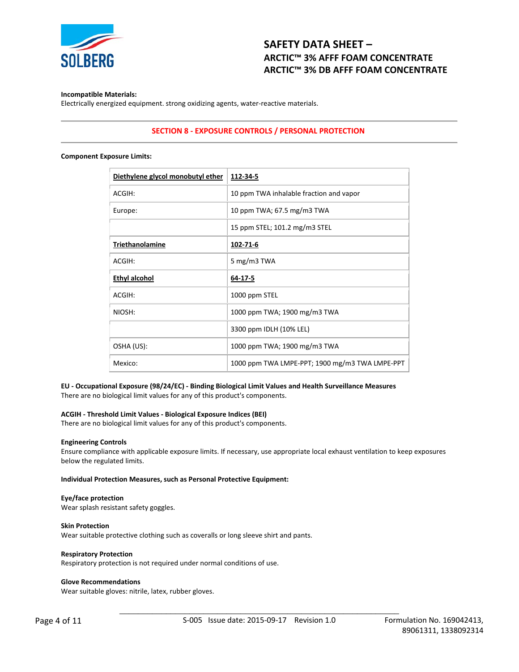

## **Incompatible Materials:**

Electrically energized equipment. strong oxidizing agents, water-reactive materials.

# **SECTION 8 - EXPOSURE CONTROLS / PERSONAL PROTECTION**

#### **Component Exposure Limits:**

| Diethylene glycol monobutyl ether | 112-34-5                                       |
|-----------------------------------|------------------------------------------------|
| ACGIH:                            | 10 ppm TWA inhalable fraction and vapor        |
| Europe:                           | 10 ppm TWA; 67.5 mg/m3 TWA                     |
|                                   | 15 ppm STEL; 101.2 mg/m3 STEL                  |
| Triethanolamine                   | 102-71-6                                       |
| ACGIH:                            | 5 mg/m3 TWA                                    |
| Ethyl alcohol                     | 64-17-5                                        |
| ACGIH:                            | 1000 ppm STEL                                  |
| NIOSH:                            | 1000 ppm TWA; 1900 mg/m3 TWA                   |
|                                   | 3300 ppm IDLH (10% LEL)                        |
| OSHA (US):                        | 1000 ppm TWA; 1900 mg/m3 TWA                   |
| Mexico:                           | 1000 ppm TWA LMPE-PPT; 1900 mg/m3 TWA LMPE-PPT |
|                                   |                                                |

# **EU - Occupational Exposure (98/24/EC) - Binding Biological Limit Values and Health Surveillance Measures**

There are no biological limit values for any of this product's components.

## **ACGIH - Threshold Limit Values - Biological Exposure Indices (BEI)**

There are no biological limit values for any of this product's components.

#### **Engineering Controls**

Ensure compliance with applicable exposure limits. If necessary, use appropriate local exhaust ventilation to keep exposures below the regulated limits.

**Individual Protection Measures, such as Personal Protective Equipment:** 

#### **Eye/face protection**

Wear splash resistant safety goggles.

## **Skin Protection**

Wear suitable protective clothing such as coveralls or long sleeve shirt and pants.

#### **Respiratory Protection**

Respiratory protection is not required under normal conditions of use.

#### **Glove Recommendations**

Wear suitable gloves: nitrile, latex, rubber gloves.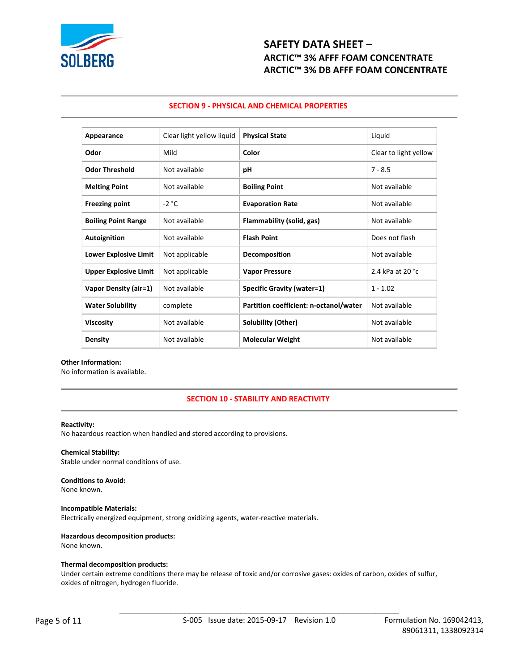

# **SECTION 9 - PHYSICAL AND CHEMICAL PROPERTIES**

| Appearance                   | Clear light yellow liquid | <b>Physical State</b>                  | Liquid                |
|------------------------------|---------------------------|----------------------------------------|-----------------------|
| Odor                         | Mild                      | Color                                  | Clear to light yellow |
| <b>Odor Threshold</b>        | Not available             | рH                                     | $7 - 8.5$             |
| <b>Melting Point</b>         | Not available             | <b>Boiling Point</b>                   | Not available         |
| <b>Freezing point</b>        | $-2 °C$                   | <b>Evaporation Rate</b>                | Not available         |
| <b>Boiling Point Range</b>   | Not available             | Flammability (solid, gas)              | Not available         |
| <b>Autoignition</b>          | Not available             | <b>Flash Point</b>                     | Does not flash        |
| <b>Lower Explosive Limit</b> | Not applicable            | Decomposition                          | Not available         |
| <b>Upper Explosive Limit</b> | Not applicable            | <b>Vapor Pressure</b>                  | 2.4 kPa at 20 °C      |
| Vapor Density (air=1)        | Not available             | <b>Specific Gravity (water=1)</b>      | $1 - 1.02$            |
| <b>Water Solubility</b>      | complete                  | Partition coefficient: n-octanol/water | Not available         |
| <b>Viscosity</b>             | Not available             | Solubility (Other)                     | Not available         |
| <b>Density</b>               | Not available             | <b>Molecular Weight</b>                | Not available         |

#### **Other Information:**

No information is available.

# **SECTION 10 - STABILITY AND REACTIVITY**

#### **Reactivity:**

No hazardous reaction when handled and stored according to provisions.

# **Chemical Stability:**

Stable under normal conditions of use.

# **Conditions to Avoid:**

None known.

#### **Incompatible Materials:**

Electrically energized equipment, strong oxidizing agents, water-reactive materials.

## **Hazardous decomposition products:**

None known.

#### **Thermal decomposition products:**

Under certain extreme conditions there may be release of toxic and/or corrosive gases: oxides of carbon, oxides of sulfur, oxides of nitrogen, hydrogen fluoride.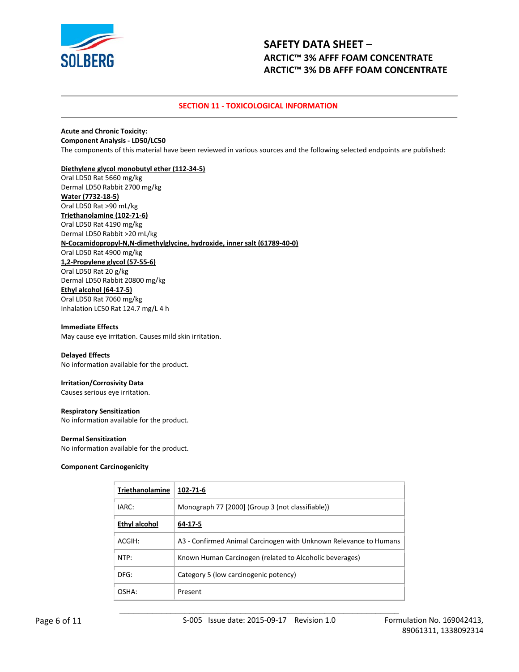

# **SECTION 11 - TOXICOLOGICAL INFORMATION**

#### **Acute and Chronic Toxicity: Component Analysis - LD50/LC50**

The components of this material have been reviewed in various sources and the following selected endpoints are published:

## **Diethylene glycol monobutyl ether (112-34-5)**

Oral LD50 Rat 5660 mg/kg Dermal LD50 Rabbit 2700 mg/kg **Water (7732-18-5)** Oral LD50 Rat >90 mL/kg **Triethanolamine (102-71-6)** Oral LD50 Rat 4190 mg/kg Dermal LD50 Rabbit >20 mL/kg **N-Cocamidopropyl-N,N-dimethylglycine, hydroxide, inner salt (61789-40-0)** Oral LD50 Rat 4900 mg/kg **1,2-Propylene glycol (57-55-6)** Oral LD50 Rat 20 g/kg Dermal LD50 Rabbit 20800 mg/kg **Ethyl alcohol (64-17-5)** Oral LD50 Rat 7060 mg/kg Inhalation LC50 Rat 124.7 mg/L 4 h

#### **Immediate Effects**

May cause eye irritation. Causes mild skin irritation.

#### **Delayed Effects**

No information available for the product.

# **Irritation/Corrosivity Data**

Causes serious eye irritation.

#### **Respiratory Sensitization**

No information available for the product.

#### **Dermal Sensitization**

No information available for the product.

#### **Component Carcinogenicity**

| <b>Triethanolamine</b> | 102-71-6                                                          |
|------------------------|-------------------------------------------------------------------|
| IARC:                  | Monograph 77 [2000] (Group 3 (not classifiable))                  |
| <b>Ethyl alcohol</b>   | 64-17-5                                                           |
| ACGIH:                 | A3 - Confirmed Animal Carcinogen with Unknown Relevance to Humans |
| NTP:                   | Known Human Carcinogen (related to Alcoholic beverages)           |
| DFG:                   | Category 5 (low carcinogenic potency)                             |
| OSHA:                  | Present                                                           |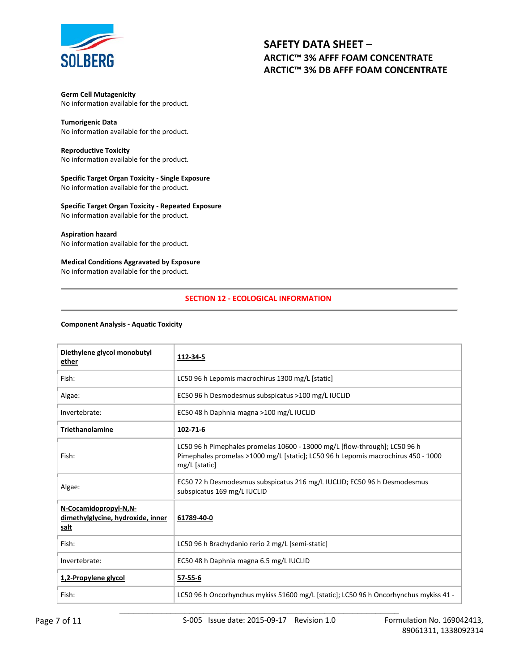

**Germ Cell Mutagenicity**  No information available for the product.

**Tumorigenic Data**  No information available for the product.

**Reproductive Toxicity**  No information available for the product.

**Specific Target Organ Toxicity - Single Exposure**  No information available for the product.

**Specific Target Organ Toxicity - Repeated Exposure**  No information available for the product.

## **Aspiration hazard**

No information available for the product.

## **Medical Conditions Aggravated by Exposure**

No information available for the product.

# **SECTION 12 - ECOLOGICAL INFORMATION**

#### **Component Analysis - Aquatic Toxicity**

| Diethylene glycol monobutyl<br>ether                               | 112-34-5                                                                                                                                                                         |
|--------------------------------------------------------------------|----------------------------------------------------------------------------------------------------------------------------------------------------------------------------------|
| Fish:                                                              | LC50 96 h Lepomis macrochirus 1300 mg/L [static]                                                                                                                                 |
| Algae:                                                             | EC50 96 h Desmodesmus subspicatus >100 mg/L IUCLID                                                                                                                               |
| Invertebrate:                                                      | EC50 48 h Daphnia magna >100 mg/L IUCLID                                                                                                                                         |
| <b>Triethanolamine</b>                                             | 102-71-6                                                                                                                                                                         |
| Fish:                                                              | LC50 96 h Pimephales promelas 10600 - 13000 mg/L [flow-through]; LC50 96 h<br>Pimephales promelas >1000 mg/L [static]; LC50 96 h Lepomis macrochirus 450 - 1000<br>mg/L [static] |
| Algae:                                                             | EC50 72 h Desmodesmus subspicatus 216 mg/L IUCLID; EC50 96 h Desmodesmus<br>subspicatus 169 mg/L IUCLID                                                                          |
| N-Cocamidopropyl-N,N-<br>dimethylglycine, hydroxide, inner<br>salt | 61789-40-0                                                                                                                                                                       |
| Fish:                                                              | LC50 96 h Brachydanio rerio 2 mg/L [semi-static]                                                                                                                                 |
| Invertebrate:                                                      | EC50 48 h Daphnia magna 6.5 mg/L IUCLID                                                                                                                                          |
| 1,2-Propylene glycol                                               | 57-55-6                                                                                                                                                                          |
| Fish:                                                              | LC50 96 h Oncorhynchus mykiss 51600 mg/L [static]; LC50 96 h Oncorhynchus mykiss 41 -                                                                                            |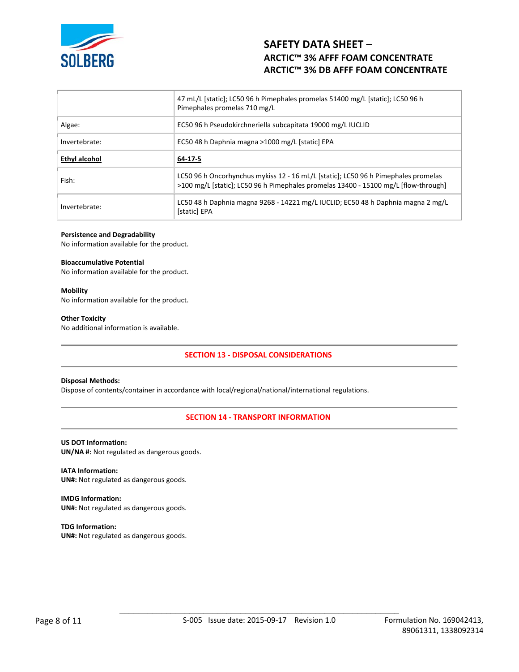

|               | 47 mL/L [static]; LC50 96 h Pimephales promelas 51400 mg/L [static]; LC50 96 h<br>Pimephales promelas 710 mg/L                                                            |
|---------------|---------------------------------------------------------------------------------------------------------------------------------------------------------------------------|
| Algae:        | EC50 96 h Pseudokirchneriella subcapitata 19000 mg/L IUCLID                                                                                                               |
| Invertebrate: | EC50 48 h Daphnia magna >1000 mg/L [static] EPA                                                                                                                           |
| Ethyl alcohol | 64-17-5                                                                                                                                                                   |
| Fish:         | LC50 96 h Oncorhynchus mykiss 12 - 16 mL/L [static]; LC50 96 h Pimephales promelas<br>>100 mg/L [static]; LC50 96 h Pimephales promelas 13400 - 15100 mg/L [flow-through] |
| Invertebrate: | LC50 48 h Daphnia magna 9268 - 14221 mg/L IUCLID; EC50 48 h Daphnia magna 2 mg/L                                                                                          |

#### **Persistence and Degradability**

No information available for the product.

#### **Bioaccumulative Potential**

No information available for the product.

#### **Mobility**

No information available for the product.

#### **Other Toxicity**

No additional information is available.

# **SECTION 13 - DISPOSAL CONSIDERATIONS**

#### **Disposal Methods:**

Dispose of contents/container in accordance with local/regional/national/international regulations.

# **SECTION 14 - TRANSPORT INFORMATION**

# **US DOT Information:**

**UN/NA #:** Not regulated as dangerous goods.

**IATA Information: UN#:** Not regulated as dangerous goods.

**IMDG Information: UN#:** Not regulated as dangerous goods.

**TDG Information: UN#:** Not regulated as dangerous goods.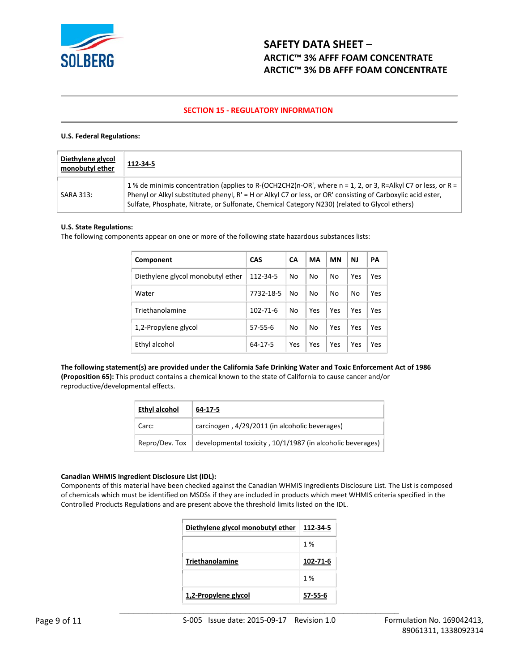

# **SECTION 15 - REGULATORY INFORMATION**

# **U.S. Federal Regulations:**

| Diethylene glycol<br>monobutyl ether | 112-34-5                                                                                                                                                                                                                                                                                                                    |
|--------------------------------------|-----------------------------------------------------------------------------------------------------------------------------------------------------------------------------------------------------------------------------------------------------------------------------------------------------------------------------|
| SARA 313:                            | 1 % de minimis concentration (applies to R-(OCH2CH2)n-OR', where n = 1, 2, or 3, R=Alkyl C7 or less, or R =<br>Phenyl or Alkyl substituted phenyl, R' = H or Alkyl C7 or less, or OR' consisting of Carboxylic acid ester,<br>Sulfate, Phosphate, Nitrate, or Sulfonate, Chemical Category N230) (related to Glycol ethers) |

## **U.S. State Regulations:**

The following components appear on one or more of the following state hazardous substances lists:

| Component                         | <b>CAS</b>     | <b>CA</b> | MA  | <b>MN</b> | <b>NJ</b> | PA  |
|-----------------------------------|----------------|-----------|-----|-----------|-----------|-----|
| Diethylene glycol monobutyl ether | 112-34-5       | No        | No  | No        | Yes       | Yes |
| Water                             | 7732-18-5      | No        | No  | No        | No        | Yes |
| Triethanolamine                   | $102 - 71 - 6$ | No        | Yes | Yes       | Yes       | Yes |
| 1,2-Propylene glycol              | 57-55-6        | No        | No  | Yes       | Yes       | Yes |
| Ethyl alcohol                     | 64-17-5        | Yes       | Yes | Yes       | Yes       | Yes |

**The following statement(s) are provided under the California Safe Drinking Water and Toxic Enforcement Act of 1986 (Proposition 65):** This product contains a chemical known to the state of California to cause cancer and/or reproductive/developmental effects.

| Ethyl alcohol<br>64-17-5 |                                                            |  |  |  |
|--------------------------|------------------------------------------------------------|--|--|--|
| Carc:                    | carcinogen, 4/29/2011 (in alcoholic beverages)             |  |  |  |
| Repro/Dev. Tox           | developmental toxicity, 10/1/1987 (in alcoholic beverages) |  |  |  |

#### **Canadian WHMIS Ingredient Disclosure List (IDL):**

Components of this material have been checked against the Canadian WHMIS Ingredients Disclosure List. The List is composed of chemicals which must be identified on MSDSs if they are included in products which meet WHMIS criteria specified in the Controlled Products Regulations and are present above the threshold limits listed on the IDL.

| Diethylene glycol monobutyl ether | 112-34-5 |
|-----------------------------------|----------|
|                                   | 1%       |
| <b>Triethanolamine</b>            | 102-71-6 |
|                                   | 1%       |
| 1,2-Propylene glycol              | 57-55-6  |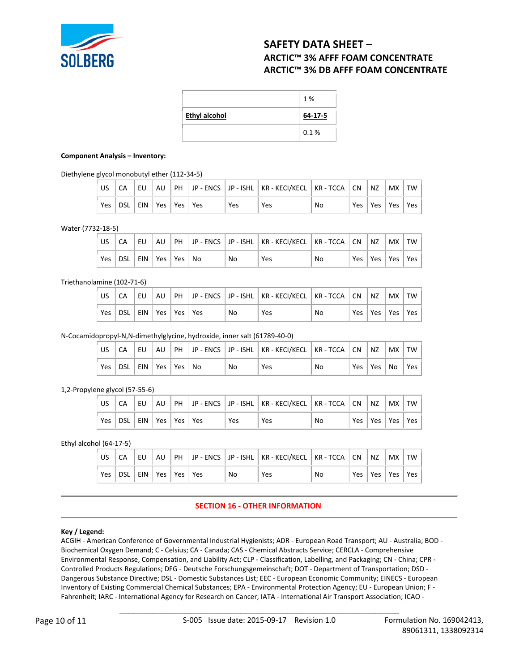

|                      | 1 %     |
|----------------------|---------|
| <b>Ethyl alcohol</b> | 64-17-5 |
|                      | 0.1%    |

#### **Component Analysis – Inventory:**

Diethylene glycol monobutyl ether (112-34-5)

|     |                     | ιEU. | AU |  |     | PH   JP - ENCS   JP - ISHL   KR - KECI/KECL   KR - TCCA   CN |    | $\overline{\phantom{a}}$ NZ | <b>MX</b>       | TW  |
|-----|---------------------|------|----|--|-----|--------------------------------------------------------------|----|-----------------------------|-----------------|-----|
| Yes | DSL EIN Yes Yes Yes |      |    |  | Yes | Yes                                                          | No |                             | Yes   Yes   Yes | Yes |

Water (7732-18-5)

|     |                    | EU. |  |    | AU   PH   JP - ENCS   JP - ISHL   KR - KECI/KECL   KR - TCCA   CN |    |     | $\overline{\phantom{a}}$ NZ | MX TW |     |
|-----|--------------------|-----|--|----|-------------------------------------------------------------------|----|-----|-----------------------------|-------|-----|
| Yes | DSL EIN Yes Yes No |     |  | No | Yes                                                               | No | Yes | Yes   Yes                   |       | Yes |

Triethanolamine (102-71-6)

| US. |                         |  |  |    | CA    EU    AU    PH    JP - ENCS    JP - ISHL    KR - KECI/KECL    KR - TCCA    CN    NZ    MX    TW |    |  |                       |  |
|-----|-------------------------|--|--|----|-------------------------------------------------------------------------------------------------------|----|--|-----------------------|--|
|     | Yes DSL EIN Yes Yes Yes |  |  | No | Yes                                                                                                   | No |  | Yes   Yes   Yes   Yes |  |

N-Cocamidopropyl-N,N-dimethylglycine, hydroxide, inner salt (61789-40-0)

|     |                    |  |  |    | EU   AU   PH   JP - ENCS   JP - ISHL   KR - KECI/KECL   KR - TCCA   CN   NZ   MX   TW |    |  |                      |
|-----|--------------------|--|--|----|---------------------------------------------------------------------------------------|----|--|----------------------|
| Yes | DSL EIN Yes Yes No |  |  | No | Yes                                                                                   | No |  | Yes   Yes   No   Yes |

1,2-Propylene glycol (57-55-6)

|            |                             | EU |  |            | AU   PH   JP - ENCS   JP - ISHL   KR - KECI/KECL   KR - TCCA   CN |    | $\overline{\phantom{a}}$ NZ | ⊢MX   TW              |  |
|------------|-----------------------------|----|--|------------|-------------------------------------------------------------------|----|-----------------------------|-----------------------|--|
| <b>Yes</b> | DSL   EIN   Yes   Yes   Yes |    |  | <b>Yes</b> | Yes                                                               | No |                             | Yes   Yes   Yes   Yes |  |

Ethyl alcohol (64-17-5)

| US  |     | EU  | AU  |      |     |    | PH JP - ENCS JP - ISHL   KR - KECI/KECL   KR - TCCA   CN |    |     | NZ  | <b>MX</b> | TW  |
|-----|-----|-----|-----|------|-----|----|----------------------------------------------------------|----|-----|-----|-----------|-----|
| Yes | DSL | EIN | Yes | Yes. | Yes | No | Yes                                                      | No | Yes | Yes | Yes       | Yes |

# **SECTION 16 - OTHER INFORMATION**

# **Key / Legend:**

ACGIH - American Conference of Governmental Industrial Hygienists; ADR - European Road Transport; AU - Australia; BOD - Biochemical Oxygen Demand; C - Celsius; CA - Canada; CAS - Chemical Abstracts Service; CERCLA - Comprehensive Environmental Response, Compensation, and Liability Act; CLP - Classification, Labelling, and Packaging; CN - China; CPR - Controlled Products Regulations; DFG - Deutsche Forschungsgemeinschaft; DOT - Department of Transportation; DSD - Dangerous Substance Directive; DSL - Domestic Substances List; EEC - European Economic Community; EINECS - European Inventory of Existing Commercial Chemical Substances; EPA - Environmental Protection Agency; EU - European Union; F - Fahrenheit; IARC - International Agency for Research on Cancer; IATA - International Air Transport Association; ICAO -